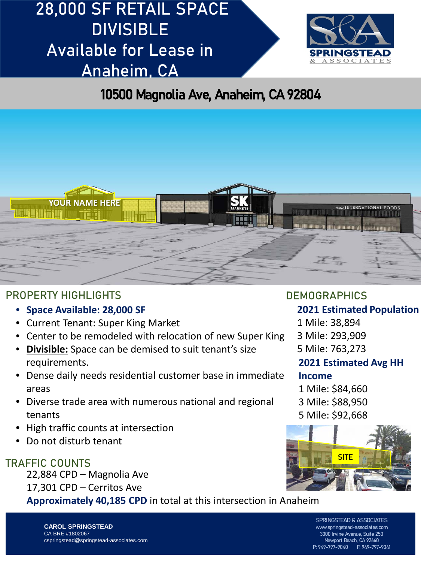# 28,000 SF RETAIL SPACE DIVISIBLE Available for Lease in Anaheim, CA



## 10500 Magnolia Ave, Anaheim, CA 92804



### PROPERTY HIGHLIGHTS **DEMOGRAPHICS**

- **Space Available: 28,000 SF**
- Current Tenant: Super King Market
- Center to be remodeled with relocation of new Super King
- **Divisible:** Space can be demised to suit tenant's size requirements.
- Dense daily needs residential customer base in immediate areas
- Diverse trade area with numerous national and regional tenants
- High traffic counts at intersection
- Do not disturb tenant

### TRAFFIC COUNTS

22,884 CPD – Magnolia Ave 17,301 CPD – Cerritos Ave

**Approximately 40,185 CPD** in total at this intersection in Anaheim

#### **2021 Estimated Population**

- 1 Mile: 38,894
- 3 Mile: 293,909
- 5 Mile: 763,273

#### **2021 Estimated Avg HH**

#### **Income**

1 Mile: \$84,660 3 Mile: \$88,950 5 Mile: \$92,668



**CAROL SPRINGSTEAD** CA BRE #1802067 cspringstead@springstead-associates.com

SPRINGSTEAD & ASSOCIATES www.springstead-associates.com 3300 Irvine Avenue, Suite 250 Newport Beach, CA 92660 P: 949-797-9040 F: 949-797-9041